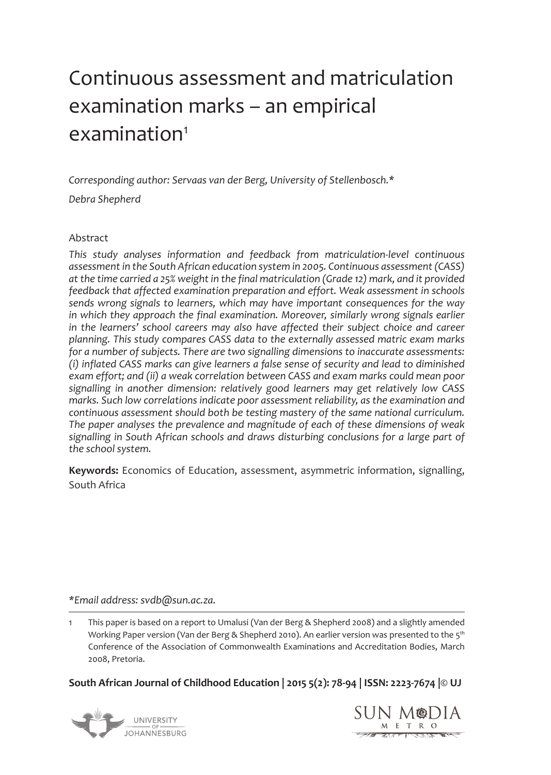# Continuous assessment and matriculation examination marks – an empirical examination1

*Corresponding author: Servaas van der Berg, University of Stellenbosch.\** 

*Debra Shepherd*

#### Abstract

*This study analyses information and feedback from matriculation-level continuous assessment in the South African education system in 2005. Continuous assessment (CASS) at the time carried a 25% weight in the final matriculation (Grade 12) mark, and it provided feedback that affected examination preparation and effort. Weak assessment in schools sends wrong signals to learners, which may have important consequences for the way in which they approach the final examination. Moreover, similarly wrong signals earlier in the learners' school careers may also have affected their subject choice and career planning. This study compares CASS data to the externally assessed matric exam marks for a number of subjects. There are two signalling dimensions to inaccurate assessments: (i) inflated CASS marks can give learners a false sense of security and lead to diminished exam effort; and (ii) a weak correlation between CASS and exam marks could mean poor signalling in another dimension: relatively good learners may get relatively low CASS marks. Such low correlations indicate poor assessment reliability, as the examination and continuous assessment should both be testing mastery of the same national curriculum. The paper analyses the prevalence and magnitude of each of these dimensions of weak signalling in South African schools and draws disturbing conclusions for a large part of the school system.*

**Keywords:** Economics of Education, assessment, asymmetric information, signalling, South Africa

*\*Email address: svdb@sun.ac.za.*

**South African Journal of Childhood Education | 2015 5(2): 78-94 | ISSN: 2223-7674 |© UJ**





<sup>1</sup> This paper is based on a report to Umalusi (Van der Berg & Shepherd 2008) and a slightly amended Working Paper version (Van der Berg & Shepherd 2010). An earlier version was presented to the 5<sup>th</sup> Conference of the Association of Commonwealth Examinations and Accreditation Bodies, March 2008, Pretoria.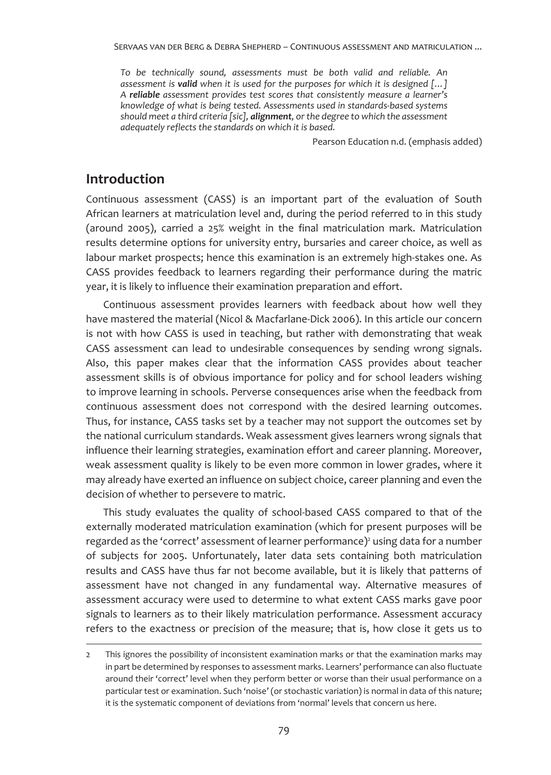Servaas van der Berg & Debra Shepherd – Continuous assessment and matriculation ...

*To be technically sound, assessments must be both valid and reliable. An assessment is valid when it is used for the purposes for which it is designed […] A reliable assessment provides test scores that consistently measure a learner's knowledge of what is being tested. Assessments used in standards-based systems should meet a third criteria [sic], alignment, or the degree to which the assessment adequately reflects the standards on which it is based.*

Pearson Education n.d. (emphasis added)

### **Introduction**

Continuous assessment (CASS) is an important part of the evaluation of South African learners at matriculation level and, during the period referred to in this study (around 2005), carried a 25% weight in the final matriculation mark. Matriculation results determine options for university entry, bursaries and career choice, as well as labour market prospects; hence this examination is an extremely high-stakes one. As CASS provides feedback to learners regarding their performance during the matric year, it is likely to influence their examination preparation and effort.

Continuous assessment provides learners with feedback about how well they have mastered the material (Nicol & Macfarlane-Dick 2006). In this article our concern is not with how CASS is used in teaching, but rather with demonstrating that weak CASS assessment can lead to undesirable consequences by sending wrong signals. Also, this paper makes clear that the information CASS provides about teacher assessment skills is of obvious importance for policy and for school leaders wishing to improve learning in schools. Perverse consequences arise when the feedback from continuous assessment does not correspond with the desired learning outcomes. Thus, for instance, CASS tasks set by a teacher may not support the outcomes set by the national curriculum standards. Weak assessment gives learners wrong signals that influence their learning strategies, examination effort and career planning. Moreover, weak assessment quality is likely to be even more common in lower grades, where it may already have exerted an influence on subject choice, career planning and even the decision of whether to persevere to matric.

This study evaluates the quality of school-based CASS compared to that of the externally moderated matriculation examination (which for present purposes will be regarded as the 'correct' assessment of learner performance)<sup>2</sup> using data for a number of subjects for 2005. Unfortunately, later data sets containing both matriculation results and CASS have thus far not become available, but it is likely that patterns of assessment have not changed in any fundamental way. Alternative measures of assessment accuracy were used to determine to what extent CASS marks gave poor signals to learners as to their likely matriculation performance. Assessment accuracy refers to the exactness or precision of the measure; that is, how close it gets us to

<sup>2</sup> This ignores the possibility of inconsistent examination marks or that the examination marks may in part be determined by responses to assessment marks. Learners' performance can also fluctuate around their 'correct' level when they perform better or worse than their usual performance on a particular test or examination. Such 'noise' (or stochastic variation) is normal in data of this nature; it is the systematic component of deviations from 'normal' levels that concern us here.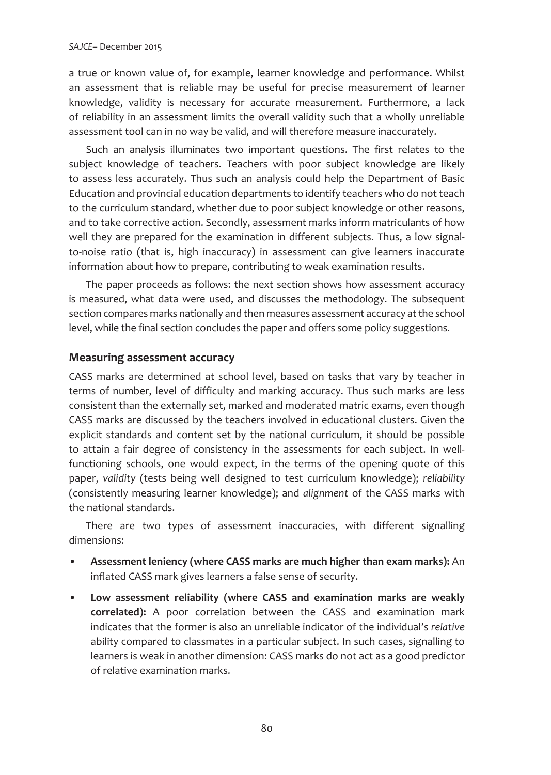a true or known value of, for example, learner knowledge and performance. Whilst an assessment that is reliable may be useful for precise measurement of learner knowledge, validity is necessary for accurate measurement. Furthermore, a lack of reliability in an assessment limits the overall validity such that a wholly unreliable assessment tool can in no way be valid, and will therefore measure inaccurately.

Such an analysis illuminates two important questions. The first relates to the subject knowledge of teachers. Teachers with poor subject knowledge are likely to assess less accurately. Thus such an analysis could help the Department of Basic Education and provincial education departments to identify teachers who do not teach to the curriculum standard, whether due to poor subject knowledge or other reasons, and to take corrective action. Secondly, assessment marks inform matriculants of how well they are prepared for the examination in different subjects. Thus, a low signalto-noise ratio (that is, high inaccuracy) in assessment can give learners inaccurate information about how to prepare, contributing to weak examination results.

The paper proceeds as follows: the next section shows how assessment accuracy is measured, what data were used, and discusses the methodology. The subsequent section compares marks nationally and then measures assessment accuracy at the school level, while the final section concludes the paper and offers some policy suggestions.

#### **Measuring assessment accuracy**

CASS marks are determined at school level, based on tasks that vary by teacher in terms of number, level of difficulty and marking accuracy. Thus such marks are less consistent than the externally set, marked and moderated matric exams, even though CASS marks are discussed by the teachers involved in educational clusters. Given the explicit standards and content set by the national curriculum, it should be possible to attain a fair degree of consistency in the assessments for each subject. In wellfunctioning schools, one would expect, in the terms of the opening quote of this paper, *validity* (tests being well designed to test curriculum knowledge); *reliability* (consistently measuring learner knowledge); and *alignment* of the CASS marks with the national standards.

There are two types of assessment inaccuracies, with different signalling dimensions:

- **• Assessment leniency (where CASS marks are much higher than exam marks):** An inflated CASS mark gives learners a false sense of security.
- **• Low assessment reliability (where CASS and examination marks are weakly correlated):** A poor correlation between the CASS and examination mark indicates that the former is also an unreliable indicator of the individual's *relative* ability compared to classmates in a particular subject. In such cases, signalling to learners is weak in another dimension: CASS marks do not act as a good predictor of relative examination marks.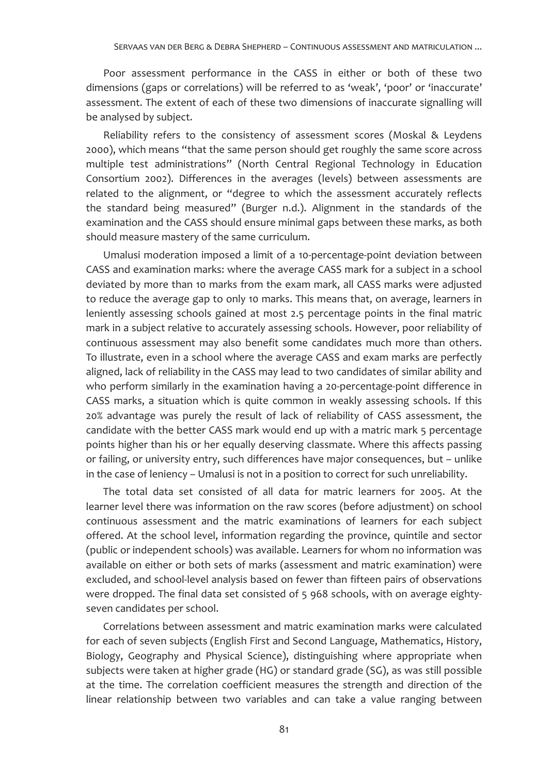Poor assessment performance in the CASS in either or both of these two dimensions (gaps or correlations) will be referred to as 'weak', 'poor' or 'inaccurate' assessment. The extent of each of these two dimensions of inaccurate signalling will be analysed by subject.

Reliability refers to the consistency of assessment scores (Moskal & Leydens 2000), which means "that the same person should get roughly the same score across multiple test administrations" (North Central Regional Technology in Education Consortium 2002). Differences in the averages (levels) between assessments are related to the alignment, or "degree to which the assessment accurately reflects the standard being measured" (Burger n.d.). Alignment in the standards of the examination and the CASS should ensure minimal gaps between these marks, as both should measure mastery of the same curriculum.

Umalusi moderation imposed a limit of a 10-percentage-point deviation between CASS and examination marks: where the average CASS mark for a subject in a school deviated by more than 10 marks from the exam mark, all CASS marks were adjusted to reduce the average gap to only 10 marks. This means that, on average, learners in leniently assessing schools gained at most 2.5 percentage points in the final matric mark in a subject relative to accurately assessing schools. However, poor reliability of continuous assessment may also benefit some candidates much more than others. To illustrate, even in a school where the average CASS and exam marks are perfectly aligned, lack of reliability in the CASS may lead to two candidates of similar ability and who perform similarly in the examination having a 20-percentage-point difference in CASS marks, a situation which is quite common in weakly assessing schools. If this 20% advantage was purely the result of lack of reliability of CASS assessment, the candidate with the better CASS mark would end up with a matric mark 5 percentage points higher than his or her equally deserving classmate. Where this affects passing or failing, or university entry, such differences have major consequences, but – unlike in the case of leniency – Umalusi is not in a position to correct for such unreliability.

The total data set consisted of all data for matric learners for 2005. At the learner level there was information on the raw scores (before adjustment) on school continuous assessment and the matric examinations of learners for each subject offered. At the school level, information regarding the province, quintile and sector (public or independent schools) was available. Learners for whom no information was available on either or both sets of marks (assessment and matric examination) were excluded, and school-level analysis based on fewer than fifteen pairs of observations were dropped. The final data set consisted of 5 968 schools, with on average eightyseven candidates per school.

Correlations between assessment and matric examination marks were calculated for each of seven subjects (English First and Second Language, Mathematics, History, Biology, Geography and Physical Science), distinguishing where appropriate when subjects were taken at higher grade (HG) or standard grade (SG), as was still possible at the time. The correlation coefficient measures the strength and direction of the linear relationship between two variables and can take a value ranging between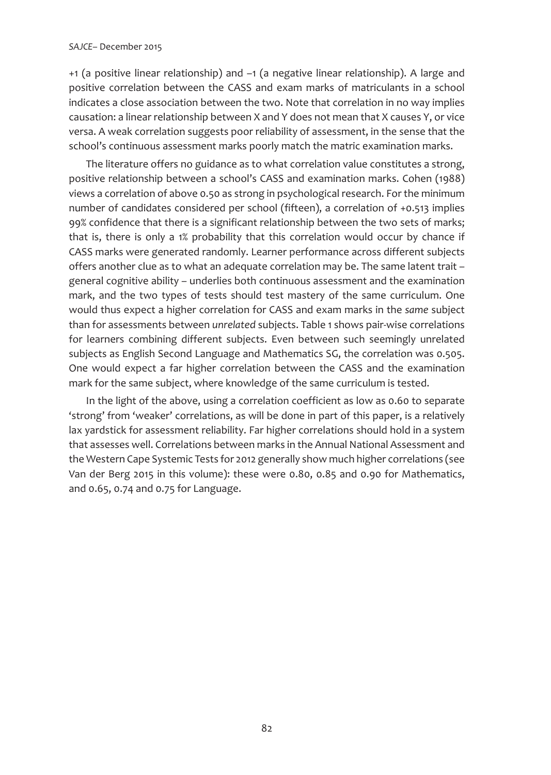+1 (a positive linear relationship) and –1 (a negative linear relationship). A large and positive correlation between the CASS and exam marks of matriculants in a school indicates a close association between the two. Note that correlation in no way implies causation: a linear relationship between X and Y does not mean that X causes Y, or vice versa. A weak correlation suggests poor reliability of assessment, in the sense that the school's continuous assessment marks poorly match the matric examination marks.

The literature offers no guidance as to what correlation value constitutes a strong, positive relationship between a school's CASS and examination marks. Cohen (1988) views a correlation of above 0.50 as strong in psychological research. For the minimum number of candidates considered per school (fifteen), a correlation of +0.513 implies 99% confidence that there is a significant relationship between the two sets of marks; that is, there is only a 1% probability that this correlation would occur by chance if CASS marks were generated randomly. Learner performance across different subjects offers another clue as to what an adequate correlation may be. The same latent trait – general cognitive ability – underlies both continuous assessment and the examination mark, and the two types of tests should test mastery of the same curriculum. One would thus expect a higher correlation for CASS and exam marks in the *same* subject than for assessments between *unrelated* subjects. Table 1 shows pair-wise correlations for learners combining different subjects. Even between such seemingly unrelated subjects as English Second Language and Mathematics SG, the correlation was 0.505. One would expect a far higher correlation between the CASS and the examination mark for the same subject, where knowledge of the same curriculum is tested.

In the light of the above, using a correlation coefficient as low as 0.60 to separate 'strong' from 'weaker' correlations, as will be done in part of this paper, is a relatively lax yardstick for assessment reliability. Far higher correlations should hold in a system that assesses well. Correlations between marks in the Annual National Assessment and the Western Cape Systemic Tests for 2012 generally show much higher correlations (see Van der Berg 2015 in this volume): these were 0.80, 0.85 and 0.90 for Mathematics, and 0.65, 0.74 and 0.75 for Language.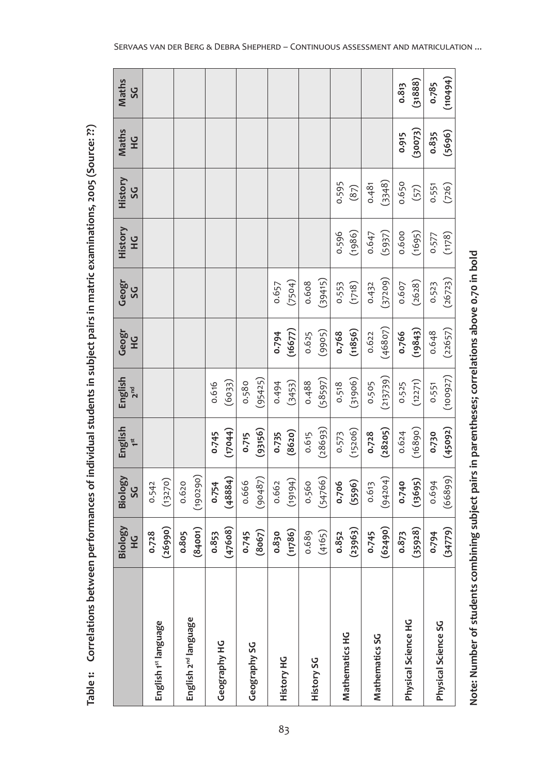|                                  | Biology<br>ЧG    | Biology<br>SG     | English<br>$1^{\rm st}$ | English<br>2 <sup>nd</sup> | Geogr<br>ЭH | Geogr<br>SG | History<br>ں<br>H | History<br><b>SG</b> | Maths<br>ں<br>H | Maths<br><b>SG</b> |
|----------------------------------|------------------|-------------------|-------------------------|----------------------------|-------------|-------------|-------------------|----------------------|-----------------|--------------------|
| English 1st language             | (26990)<br>0.728 | (13270)<br>0.542  |                         |                            |             |             |                   |                      |                 |                    |
| English 2 <sup>nd</sup> language | 0.805            | 0.620             |                         |                            |             |             |                   |                      |                 |                    |
|                                  | (84001)<br>0.853 | (190290)<br>0.754 | 0.745                   | 0.616                      |             |             |                   |                      |                 |                    |
| Geography HG                     | (47608)          | (48884)           | (17044)                 | (6033)                     |             |             |                   |                      |                 |                    |
|                                  | 0.745            | 0.666             | 0.715                   | 0.580                      |             |             |                   |                      |                 |                    |
| Geography SG                     | (8067)           | (90487)           | (93156)                 | (95425)                    |             |             |                   |                      |                 |                    |
|                                  | 0.830            | 0.662             | 0.735                   | 0.494                      | 0.794       | 0.657       |                   |                      |                 |                    |
| <b>History HG</b>                | (11786)          | (19194)           | (8620)                  | (3453)                     | (16677)     | (7504)      |                   |                      |                 |                    |
|                                  | 0.689            | 0.560             | 0.615                   | 0.488                      | 0.625       | 0.608       |                   |                      |                 |                    |
| History SG                       | (4165)           | (54766)           | (28693)                 | (58597)                    | (9905)      | (39415)     |                   |                      |                 |                    |
| Mathematics HG                   | 0.852            | 0.706             | 0.573                   | 0.518                      | 0.768       | 0.553       | 0.596             | 0.595                |                 |                    |
|                                  | (23963)          | (5596)            | (15206)                 | (31906)                    | (11856)     | (1718)      | (1986)            | (87)                 |                 |                    |
| Mathematics SG                   | 0.745            | 0.613             | 0.728                   | 0.505                      | 0.622       | 0.432       | 0.647             | 0.481                |                 |                    |
|                                  | (62490)          | (94204)           | (28205)                 | (213739)                   | (46807)     | (37209)     | (5937)            | (3348)               |                 |                    |
| Physical Science HG              | 0.873            | 0.740             | 0.624                   | 0.525                      | 0.766       | 0.607       | 0.600             | 0.650                | 0.915           | 0.813              |
|                                  | (35928)          | (13695)           | (16890)                 | (12271)                    | (19843)     | (2628)      | (1695)            | (57)                 | (30073)         | (31888)            |
|                                  | 0.794            | 0.694             | 0.730                   | 0.551                      | 0.648       | 0.523       | 0.577             | 0.551                | 0.835           | 0.785              |
| Physical Science SG              | (34779)          | (66899)           | (45092)                 | (100927)                   | (22657)     | (26723)     | (1178)            | (726)                | (5696)          | (10494)            |

**Note: Number of students combining subject pairs in parentheses; correlations above 0.70 in bold**

Note: Number of students combining subject pairs in parentheses; correlations above 0.70 in bold

Table t: Correlations between performances of individual students in subject pairs in matric examinations, 2005 (Source: ??) **Table 1: Correlations between performances of individual students in subject pairs in matric examinations, 2005 (Source: ??)**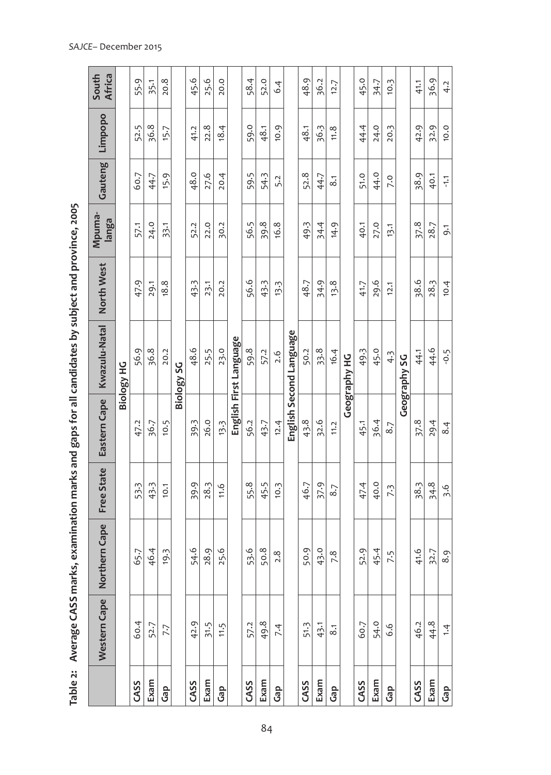Table 2: Average CASS marks, examination marks and gaps for all candidates by subject and province, 2005 **Table 2: Average CASS marks, examination marks and gaps for all candidates by subject and province, 2005**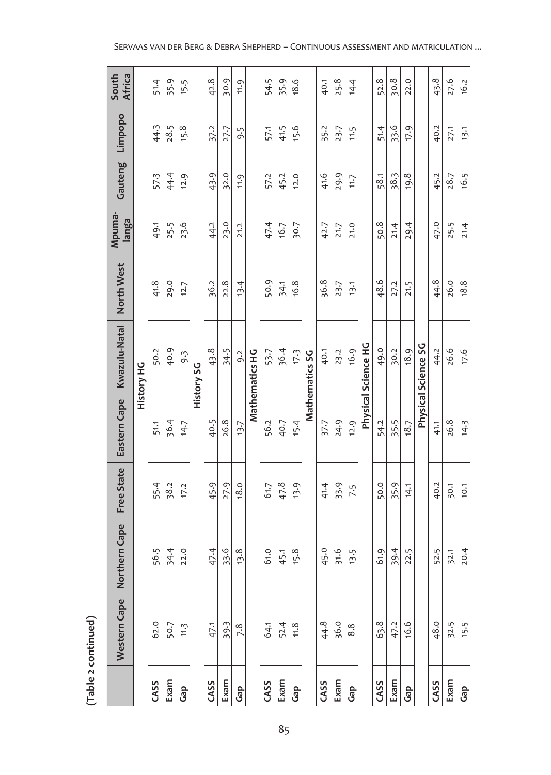| ٢ |
|---|
|   |
|   |
|   |
|   |
|   |
|   |
|   |
|   |

| 30.9<br>42.8<br>54.5<br>35.9<br>25.8<br>52.8<br>30.8<br>43.8<br>35.9<br>40.1<br>22.0<br>27.6<br>51.4<br>15.5<br>18.6<br>14.4<br>16.2<br>11.9<br>44.3<br>33.6<br>28.5<br>15.6<br>35.2<br>40.2<br>15.8<br>37.2<br>27.7<br>57.1<br>41.5<br>51.4<br>17.9<br>27.1<br>23.7<br>11.5<br>9.5<br>13.1<br>44.4<br>43.9<br>32.0<br>45.2<br>57.3<br>45.2<br>41.6<br>29.9<br>38.3<br>57.2<br>19.8<br>16.5<br>12.9<br>11.9<br>12.0<br>58.1<br>28.7<br>11.7<br>50.8<br>47.0<br>49.1<br>25.5<br>23.6<br>23.0<br>47.4<br>25.5<br>44.2<br>42.7<br>29.4<br>21.2<br>30.7<br>21.0<br>21.4<br>21.4<br>16.7<br>21.7<br>48.6<br>29.0<br>50.9<br>36.8<br>44.8<br>26.0<br>22.8<br>16.8<br>18.8<br>41.8<br>36.2<br>23.7<br>27.2<br>13.4<br>34.1<br>12.7<br>21.5<br>13.1<br>Physical Science HG<br>Physical Science SG<br>40.9<br>49.0<br>43.8<br>16.9<br>18.9<br>26.6<br>50.2<br>34.5<br>40.1<br><b>30.2</b><br>44.2<br>36.4<br>23.2<br>17.6<br>53.7<br>17.3<br>Mathematics HG<br>9.3<br>9.2<br>Mathematics SG<br><b>History HG</b><br><b>History SG</b><br>26.8<br>56.2<br>24.9<br>26.8<br>36.4<br>40.5<br>13.7<br>40.7<br>15.4<br>37.7<br>12.9<br>54.2<br>35.5<br>18.7<br>41.1<br>14.3<br>51.1<br>14.7<br>50.0<br>27.9<br>33.9<br>35.9<br>40.2<br>55.4<br>38.2<br>45.9<br>18.0<br>47.8<br>41.4<br>30.1<br>61.7<br>13.9<br>17.2<br>14.1<br>10.1<br>7.5<br>34.4<br>45.0<br>56.5<br>33.6<br>47.4<br>13.8<br>61.0<br>31.6<br>61.9<br>39.4<br>52.5<br>32.1<br>20.4<br>22.0<br>15.8<br>22.5<br>45.1<br>13.5<br>44.8<br>48.0<br>62.0<br>36.0<br>63.8<br>39.3<br>64.1<br>47.2<br>16.6<br>32.5<br>50.7<br>52.4<br>15.5<br>47.1<br>11.3<br>11.8<br>8.8<br>7.8<br>Exam<br>Exam<br>Exam<br>Exam<br>Exam<br>Exam<br>CASS<br>CASS<br>CASS<br>CASS<br>CASS<br>CASS<br>Gap<br>Gap<br>Gap<br>Gap<br>Gap<br>Gap | Western Cape | Northern Cape | <b>Free State</b> | Eastern Cape | Kwazulu-Natal | North West | Mpuma-<br>langa | Gauteng | Limpopo | Africa<br>South |
|---------------------------------------------------------------------------------------------------------------------------------------------------------------------------------------------------------------------------------------------------------------------------------------------------------------------------------------------------------------------------------------------------------------------------------------------------------------------------------------------------------------------------------------------------------------------------------------------------------------------------------------------------------------------------------------------------------------------------------------------------------------------------------------------------------------------------------------------------------------------------------------------------------------------------------------------------------------------------------------------------------------------------------------------------------------------------------------------------------------------------------------------------------------------------------------------------------------------------------------------------------------------------------------------------------------------------------------------------------------------------------------------------------------------------------------------------------------------------------------------------------------------------------------------------------------------------------------------------------------------------------------------------------------------------------------------------------------------------------------------------------------------|--------------|---------------|-------------------|--------------|---------------|------------|-----------------|---------|---------|-----------------|
|                                                                                                                                                                                                                                                                                                                                                                                                                                                                                                                                                                                                                                                                                                                                                                                                                                                                                                                                                                                                                                                                                                                                                                                                                                                                                                                                                                                                                                                                                                                                                                                                                                                                                                                                                                     |              |               |                   |              |               |            |                 |         |         |                 |
|                                                                                                                                                                                                                                                                                                                                                                                                                                                                                                                                                                                                                                                                                                                                                                                                                                                                                                                                                                                                                                                                                                                                                                                                                                                                                                                                                                                                                                                                                                                                                                                                                                                                                                                                                                     |              |               |                   |              |               |            |                 |         |         |                 |
|                                                                                                                                                                                                                                                                                                                                                                                                                                                                                                                                                                                                                                                                                                                                                                                                                                                                                                                                                                                                                                                                                                                                                                                                                                                                                                                                                                                                                                                                                                                                                                                                                                                                                                                                                                     |              |               |                   |              |               |            |                 |         |         |                 |
|                                                                                                                                                                                                                                                                                                                                                                                                                                                                                                                                                                                                                                                                                                                                                                                                                                                                                                                                                                                                                                                                                                                                                                                                                                                                                                                                                                                                                                                                                                                                                                                                                                                                                                                                                                     |              |               |                   |              |               |            |                 |         |         |                 |
|                                                                                                                                                                                                                                                                                                                                                                                                                                                                                                                                                                                                                                                                                                                                                                                                                                                                                                                                                                                                                                                                                                                                                                                                                                                                                                                                                                                                                                                                                                                                                                                                                                                                                                                                                                     |              |               |                   |              |               |            |                 |         |         |                 |
|                                                                                                                                                                                                                                                                                                                                                                                                                                                                                                                                                                                                                                                                                                                                                                                                                                                                                                                                                                                                                                                                                                                                                                                                                                                                                                                                                                                                                                                                                                                                                                                                                                                                                                                                                                     |              |               |                   |              |               |            |                 |         |         |                 |
|                                                                                                                                                                                                                                                                                                                                                                                                                                                                                                                                                                                                                                                                                                                                                                                                                                                                                                                                                                                                                                                                                                                                                                                                                                                                                                                                                                                                                                                                                                                                                                                                                                                                                                                                                                     |              |               |                   |              |               |            |                 |         |         |                 |
|                                                                                                                                                                                                                                                                                                                                                                                                                                                                                                                                                                                                                                                                                                                                                                                                                                                                                                                                                                                                                                                                                                                                                                                                                                                                                                                                                                                                                                                                                                                                                                                                                                                                                                                                                                     |              |               |                   |              |               |            |                 |         |         |                 |
|                                                                                                                                                                                                                                                                                                                                                                                                                                                                                                                                                                                                                                                                                                                                                                                                                                                                                                                                                                                                                                                                                                                                                                                                                                                                                                                                                                                                                                                                                                                                                                                                                                                                                                                                                                     |              |               |                   |              |               |            |                 |         |         |                 |
|                                                                                                                                                                                                                                                                                                                                                                                                                                                                                                                                                                                                                                                                                                                                                                                                                                                                                                                                                                                                                                                                                                                                                                                                                                                                                                                                                                                                                                                                                                                                                                                                                                                                                                                                                                     |              |               |                   |              |               |            |                 |         |         |                 |
|                                                                                                                                                                                                                                                                                                                                                                                                                                                                                                                                                                                                                                                                                                                                                                                                                                                                                                                                                                                                                                                                                                                                                                                                                                                                                                                                                                                                                                                                                                                                                                                                                                                                                                                                                                     |              |               |                   |              |               |            |                 |         |         |                 |
|                                                                                                                                                                                                                                                                                                                                                                                                                                                                                                                                                                                                                                                                                                                                                                                                                                                                                                                                                                                                                                                                                                                                                                                                                                                                                                                                                                                                                                                                                                                                                                                                                                                                                                                                                                     |              |               |                   |              |               |            |                 |         |         |                 |
|                                                                                                                                                                                                                                                                                                                                                                                                                                                                                                                                                                                                                                                                                                                                                                                                                                                                                                                                                                                                                                                                                                                                                                                                                                                                                                                                                                                                                                                                                                                                                                                                                                                                                                                                                                     |              |               |                   |              |               |            |                 |         |         |                 |
|                                                                                                                                                                                                                                                                                                                                                                                                                                                                                                                                                                                                                                                                                                                                                                                                                                                                                                                                                                                                                                                                                                                                                                                                                                                                                                                                                                                                                                                                                                                                                                                                                                                                                                                                                                     |              |               |                   |              |               |            |                 |         |         |                 |
|                                                                                                                                                                                                                                                                                                                                                                                                                                                                                                                                                                                                                                                                                                                                                                                                                                                                                                                                                                                                                                                                                                                                                                                                                                                                                                                                                                                                                                                                                                                                                                                                                                                                                                                                                                     |              |               |                   |              |               |            |                 |         |         |                 |
|                                                                                                                                                                                                                                                                                                                                                                                                                                                                                                                                                                                                                                                                                                                                                                                                                                                                                                                                                                                                                                                                                                                                                                                                                                                                                                                                                                                                                                                                                                                                                                                                                                                                                                                                                                     |              |               |                   |              |               |            |                 |         |         |                 |
|                                                                                                                                                                                                                                                                                                                                                                                                                                                                                                                                                                                                                                                                                                                                                                                                                                                                                                                                                                                                                                                                                                                                                                                                                                                                                                                                                                                                                                                                                                                                                                                                                                                                                                                                                                     |              |               |                   |              |               |            |                 |         |         |                 |
|                                                                                                                                                                                                                                                                                                                                                                                                                                                                                                                                                                                                                                                                                                                                                                                                                                                                                                                                                                                                                                                                                                                                                                                                                                                                                                                                                                                                                                                                                                                                                                                                                                                                                                                                                                     |              |               |                   |              |               |            |                 |         |         |                 |
|                                                                                                                                                                                                                                                                                                                                                                                                                                                                                                                                                                                                                                                                                                                                                                                                                                                                                                                                                                                                                                                                                                                                                                                                                                                                                                                                                                                                                                                                                                                                                                                                                                                                                                                                                                     |              |               |                   |              |               |            |                 |         |         |                 |
|                                                                                                                                                                                                                                                                                                                                                                                                                                                                                                                                                                                                                                                                                                                                                                                                                                                                                                                                                                                                                                                                                                                                                                                                                                                                                                                                                                                                                                                                                                                                                                                                                                                                                                                                                                     |              |               |                   |              |               |            |                 |         |         |                 |
|                                                                                                                                                                                                                                                                                                                                                                                                                                                                                                                                                                                                                                                                                                                                                                                                                                                                                                                                                                                                                                                                                                                                                                                                                                                                                                                                                                                                                                                                                                                                                                                                                                                                                                                                                                     |              |               |                   |              |               |            |                 |         |         |                 |
|                                                                                                                                                                                                                                                                                                                                                                                                                                                                                                                                                                                                                                                                                                                                                                                                                                                                                                                                                                                                                                                                                                                                                                                                                                                                                                                                                                                                                                                                                                                                                                                                                                                                                                                                                                     |              |               |                   |              |               |            |                 |         |         |                 |
|                                                                                                                                                                                                                                                                                                                                                                                                                                                                                                                                                                                                                                                                                                                                                                                                                                                                                                                                                                                                                                                                                                                                                                                                                                                                                                                                                                                                                                                                                                                                                                                                                                                                                                                                                                     |              |               |                   |              |               |            |                 |         |         |                 |
|                                                                                                                                                                                                                                                                                                                                                                                                                                                                                                                                                                                                                                                                                                                                                                                                                                                                                                                                                                                                                                                                                                                                                                                                                                                                                                                                                                                                                                                                                                                                                                                                                                                                                                                                                                     |              |               |                   |              |               |            |                 |         |         |                 |

Servaas van der Berg & Debra Shepherd – Continuous assessment and matriculation ...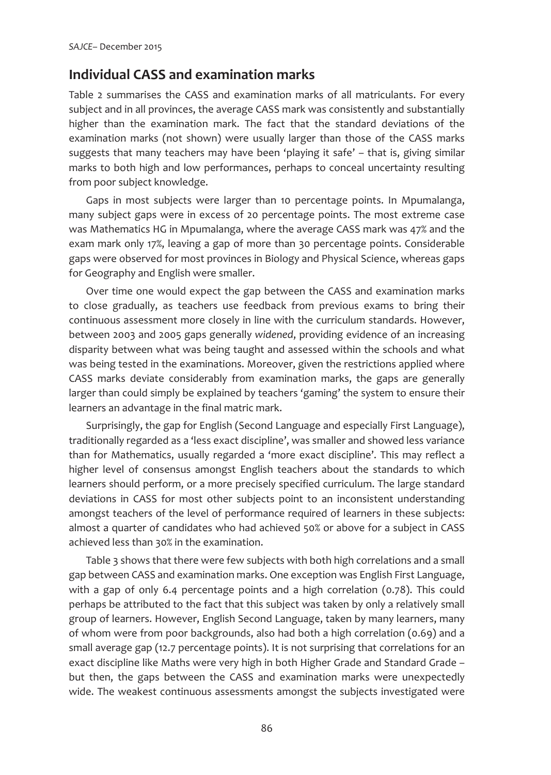## **Individual CASS and examination marks**

Table 2 summarises the CASS and examination marks of all matriculants. For every subject and in all provinces, the average CASS mark was consistently and substantially higher than the examination mark. The fact that the standard deviations of the examination marks (not shown) were usually larger than those of the CASS marks suggests that many teachers may have been 'playing it safe' – that is, giving similar marks to both high and low performances, perhaps to conceal uncertainty resulting from poor subject knowledge.

Gaps in most subjects were larger than 10 percentage points. In Mpumalanga, many subject gaps were in excess of 20 percentage points. The most extreme case was Mathematics HG in Mpumalanga, where the average CASS mark was 47% and the exam mark only 17%, leaving a gap of more than 30 percentage points. Considerable gaps were observed for most provinces in Biology and Physical Science, whereas gaps for Geography and English were smaller.

Over time one would expect the gap between the CASS and examination marks to close gradually, as teachers use feedback from previous exams to bring their continuous assessment more closely in line with the curriculum standards. However, between 2003 and 2005 gaps generally *widened*, providing evidence of an increasing disparity between what was being taught and assessed within the schools and what was being tested in the examinations. Moreover, given the restrictions applied where CASS marks deviate considerably from examination marks, the gaps are generally larger than could simply be explained by teachers 'gaming' the system to ensure their learners an advantage in the final matric mark.

Surprisingly, the gap for English (Second Language and especially First Language), traditionally regarded as a 'less exact discipline', was smaller and showed less variance than for Mathematics, usually regarded a 'more exact discipline'. This may reflect a higher level of consensus amongst English teachers about the standards to which learners should perform, or a more precisely specified curriculum. The large standard deviations in CASS for most other subjects point to an inconsistent understanding amongst teachers of the level of performance required of learners in these subjects: almost a quarter of candidates who had achieved 50% or above for a subject in CASS achieved less than 30% in the examination.

Table 3 shows that there were few subjects with both high correlations and a small gap between CASS and examination marks. One exception was English First Language, with a gap of only 6.4 percentage points and a high correlation (0.78). This could perhaps be attributed to the fact that this subject was taken by only a relatively small group of learners. However, English Second Language, taken by many learners, many of whom were from poor backgrounds, also had both a high correlation (0.69) and a small average gap (12.7 percentage points). It is not surprising that correlations for an exact discipline like Maths were very high in both Higher Grade and Standard Grade – but then, the gaps between the CASS and examination marks were unexpectedly wide. The weakest continuous assessments amongst the subjects investigated were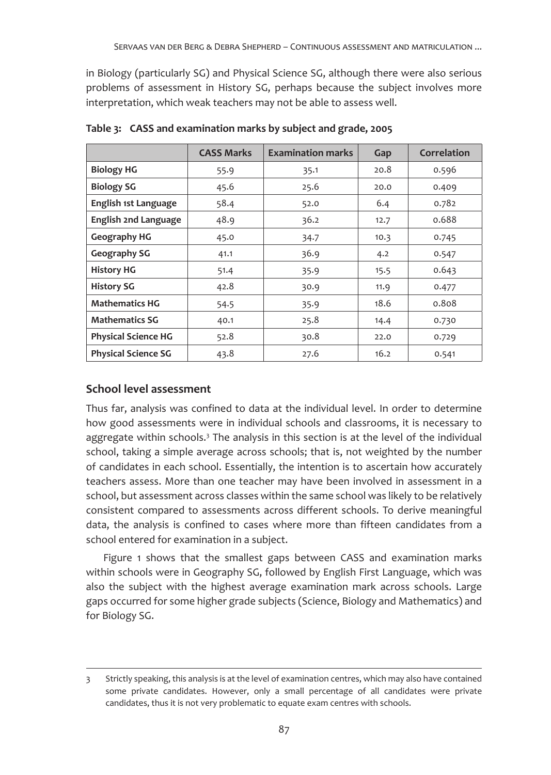in Biology (particularly SG) and Physical Science SG, although there were also serious problems of assessment in History SG, perhaps because the subject involves more interpretation, which weak teachers may not be able to assess well.

|                            | <b>CASS Marks</b> | <b>Examination marks</b> | Gap  | Correlation |
|----------------------------|-------------------|--------------------------|------|-------------|
| <b>Biology HG</b>          | 55.9              | 35.1                     | 20.8 | 0.596       |
| <b>Biology SG</b>          | 45.6              | 25.6                     | 20.0 | 0.409       |
| English 1st Language       | 58.4              | 52.0                     | 6.4  | 0.782       |
| English 2nd Language       | 48.9              | 36.2                     | 12.7 | 0.688       |
| Geography HG               | 45.0              | 34.7                     | 10.3 | 0.745       |
| Geography SG               | 41.1              | 36.9                     | 4.2  | 0.547       |
| <b>History HG</b>          | 51.4              | 35.9                     | 15.5 | 0.643       |
| <b>History SG</b>          | 42.8              | 30.9                     | 11.9 | 0.477       |
| <b>Mathematics HG</b>      | 54.5              | 35.9                     | 18.6 | 0.808       |
| <b>Mathematics SG</b>      | 40.1              | 25.8                     | 14.4 | 0.730       |
| <b>Physical Science HG</b> | 52.8              | 30.8                     | 22.0 | 0.729       |
| <b>Physical Science SG</b> | 43.8              | 27.6                     | 16.2 | 0.541       |

**Table 3: CASS and examination marks by subject and grade, 2005** 

#### **School level assessment**

Thus far, analysis was confined to data at the individual level. In order to determine how good assessments were in individual schools and classrooms, it is necessary to aggregate within schools.<sup>3</sup> The analysis in this section is at the level of the individual school, taking a simple average across schools; that is, not weighted by the number of candidates in each school. Essentially, the intention is to ascertain how accurately teachers assess. More than one teacher may have been involved in assessment in a school, but assessment across classes within the same school was likely to be relatively consistent compared to assessments across different schools. To derive meaningful data, the analysis is confined to cases where more than fifteen candidates from a school entered for examination in a subject.

Figure 1 shows that the smallest gaps between CASS and examination marks within schools were in Geography SG, followed by English First Language, which was also the subject with the highest average examination mark across schools. Large gaps occurred for some higher grade subjects (Science, Biology and Mathematics) and for Biology SG.

<sup>3</sup> Strictly speaking, this analysis is at the level of examination centres, which may also have contained some private candidates. However, only a small percentage of all candidates were private candidates, thus it is not very problematic to equate exam centres with schools.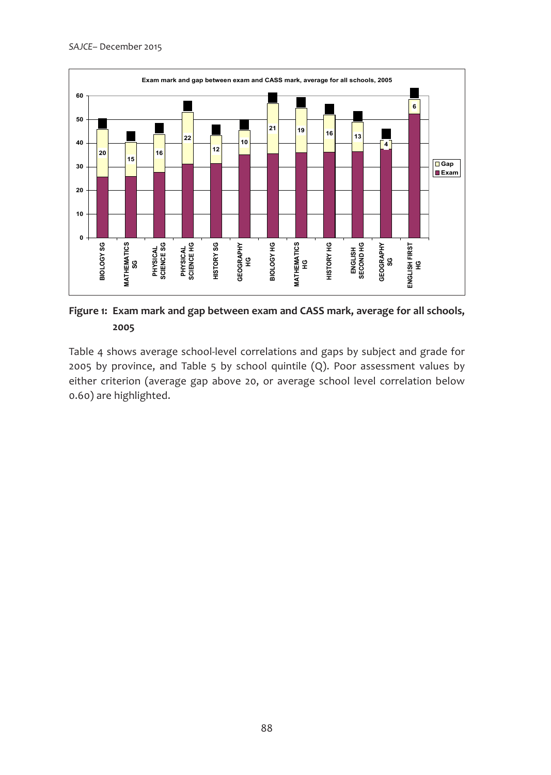

**Figure 1: Exam mark and gap between exam and CASS mark, average for all schools, 2005** 

Table 4 shows average school-level correlations and gaps by subject and grade for 2005 by province, and Table 5 by school quintile (Q). Poor assessment values by either criterion (average gap above 20, or average school level correlation below 0.60) are highlighted.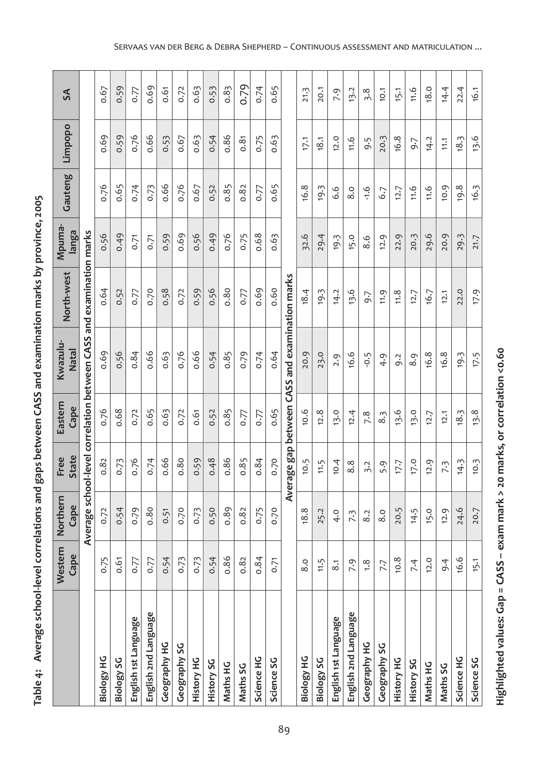| $\frac{1}{3}$      |
|--------------------|
|                    |
|                    |
|                    |
|                    |
|                    |
| <b>THESE SHOPS</b> |
|                    |
|                    |
|                    |
|                    |
|                    |
|                    |
|                    |
| <b>PIUE</b><br>I   |

|                      | Western<br>Cape  | Northern<br>Cape | <b>State</b><br>Free | Eastern<br>Cape | Kwazulu-<br><b>Natal</b>                                            | North-west | Mpuma-<br>langa | Gauteng | Limpopo | SA   |  |
|----------------------|------------------|------------------|----------------------|-----------------|---------------------------------------------------------------------|------------|-----------------|---------|---------|------|--|
|                      |                  |                  |                      |                 | Average school-level correlation between CASS and examination marks |            |                 |         |         |      |  |
| <b>Biology HG</b>    | 0.75             | 0.72             | 0.82                 | 0.76            | 0.69                                                                | 0.64       | 0.56            | 0.76    | 0.69    | 0.67 |  |
| <b>Biology SG</b>    | 0.61             | 0.54             | 0.73                 | 0.68            | 0.56                                                                | 0.52       | 0.49            | 0.65    | 0.59    | 0.59 |  |
| English 1st Language | 0.77             | 0.79             | 0.76                 | 0.72            | 0.84                                                                | 0.77       | 0.71            | 0.74    | 0.76    | 0.77 |  |
| English 2nd Language | 0.77             | 0.80             | 0.74                 | 0.65            | 0.66                                                                | 0.70       | 0.71            | 0.73    | 0.66    | 0.69 |  |
| Geography HG         | 0.54             | 0.51             | 0.66                 | 0.63            | 0.63                                                                | 0.58       | 0.59            | 0.66    | 0.53    | 0.61 |  |
| Geography SG         | 0.73             | 0.70             | 0.80                 | 0.72            | 0.76                                                                | 0.72       | 0.69            | 0.76    | 0.67    | 0.72 |  |
| <b>History HG</b>    | 0.73             | 0.73             | 0.59                 | 0.61            | 0.66                                                                | 0.59       | 0.56            | 0.67    | 0.63    | 0.63 |  |
| History SG           | 0.54             | 0.50             | 0.48                 | 0.52            | 0.54                                                                | 0.56       | 0.49            | 0.52    | 0.54    | 0.53 |  |
| Maths HG             | 0.86             | 0.89             | 0.86                 | 0.85            | 0.85                                                                | 0.80       | 0.76            | 0.85    | 0.86    | 0.83 |  |
| Maths SG             | 0.82             | 0.82             | 0.85                 | 0.77            | 0.79                                                                | 0.77       | 0.75            | 0.82    | 0.81    | 0.79 |  |
| Science HG           | 0.84             | 0.75             | 0.84                 | 0.77            | 0.74                                                                | 0.69       | 0.68            | 0.77    | 0.75    | 0.74 |  |
| Science SG           | 0.71             | 0.70             | 0.70                 | 0.65            | 0.64                                                                | 0.60       | 0.63            | 0.65    | 0.63    | 0.65 |  |
|                      |                  |                  |                      |                 | Average gap between CASS and examination marks                      |            |                 |         |         |      |  |
| <b>Biology HG</b>    | 8.0              | 18.8             | 10.5                 | 0.6             | 20.9                                                                | 18.4       | 32.6            | 16.8    | 17.1    | 21.3 |  |
| <b>Biology SG</b>    | 11.5             | 25.2             | 11.5                 | 12.8            | 23.0                                                                | 19.3       | 29.4            | 19.3    | 18.1    | 20.1 |  |
| English ist Language | $\overline{8}$ . | 4.0              | 10.4                 | 13.0            | 2.9                                                                 | 14.2       | 19.3            | 6.6     | 12.0    | 7.9  |  |
| English 2nd Language | 7.9              | 7.3              | 8.8                  | 12.4            | 16.6                                                                | 13.6       | 15.0            | 8.0     | 11.6    | 13.2 |  |
| Geography HG         | 1.8              | 8.2              | 3.2                  | 7.8             | -0.5                                                                | 9.7        | 8.6             | $-1.6$  | 9.5     | 3.8  |  |
| Geography SG         | 7.7              | 8.0              | 5.9                  | 8.3             | 4.9                                                                 | 11.9       | 12.9            | 6.7     | 20.3    | 10.1 |  |
| <b>History HG</b>    | 10.8             | 20.5             | 17.7                 | 13.6            | 9.2                                                                 | 11.8       | 22.9            | 12.7    | 16.8    | 15.1 |  |
| <b>History SG</b>    | 7.4              | 14.5             | 17.0                 | 13.0            | 8.9                                                                 | 12.7       | 20.3            | 11.6    | 9.7     | 11.6 |  |
| Maths HG             | 12.0             | 15.0             | 12.9                 | 12.7            | 16.8                                                                | 16.7       | 29.6            | 11.6    | 14.2    | 18.0 |  |
| Maths SG             | 9.4              | 12.9             | 7.3                  | 12.1            | 16.8                                                                | 12.1       | 20.9            | 10.9    | 11.1    | 14.4 |  |
| Science HG           | 16.6             | 24.6             | 14.3                 | 18.3            | 19.3                                                                | 22.0       | 29.3            | 19.8    | 18.3    | 22.4 |  |
| Science SG           | 15.1             | 20.7             | 10.3                 | 13.8            | 17.5                                                                | 17.9       | 21.7            | 16.3    | 13.6    | 16.1 |  |
|                      |                  |                  |                      |                 |                                                                     |            |                 |         |         |      |  |

Highlighted values: Gap = CASS - exam mark > 20 marks, or correlation <0.60 **Highlighted values: Gap = CASS – exam mark > 20 marks, or correlation <0.60**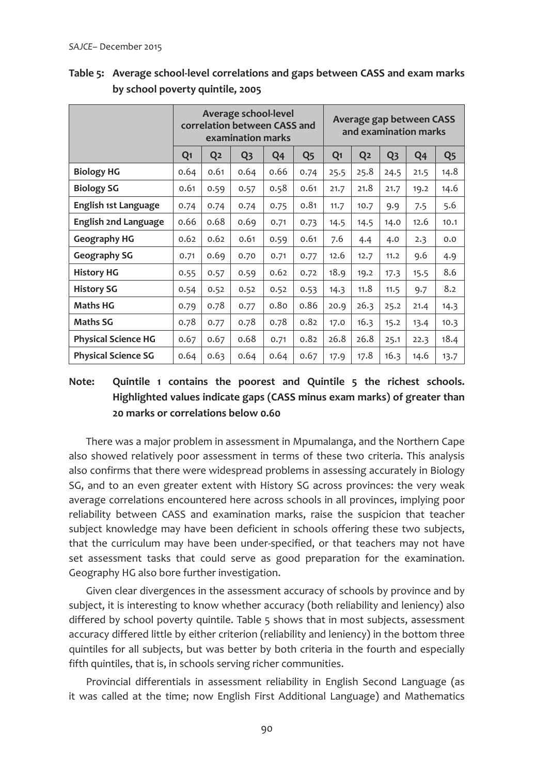|                            |      |                | Average school-level<br>correlation between CASS and<br>examination marks |      |                |                |                |                | Average gap between CASS<br>and examination marks |                |
|----------------------------|------|----------------|---------------------------------------------------------------------------|------|----------------|----------------|----------------|----------------|---------------------------------------------------|----------------|
|                            | Q1   | Q <sub>2</sub> | Q <sub>3</sub>                                                            | Q4   | Q <sub>5</sub> | Q <sub>1</sub> | Q <sub>2</sub> | Q <sub>3</sub> | Q <sub>4</sub>                                    | Q <sub>5</sub> |
| <b>Biology HG</b>          | 0.64 | 0.61           | 0.64                                                                      | 0.66 | 0.74           | 25.5           | 25.8           | 24.5           | 21.5                                              | 14.8           |
| <b>Biology SG</b>          | 0.61 | 0.59           | 0.57                                                                      | 0.58 | 0.61           | 21.7           | 21.8           | 21.7           | 19.2                                              | 14.6           |
| English 1st Language       | 0.74 | 0.74           | 0.74                                                                      | 0.75 | 0.81           | 11.7           | 10.7           | 9.9            | 7.5                                               | 5.6            |
| English 2nd Language       | 0.66 | 0.68           | 0.69                                                                      | 0.71 | 0.73           | 14.5           | 14.5           | 14.0           | 12.6                                              | 10.1           |
| Geography HG               | 0.62 | 0.62           | 0.61                                                                      | 0.59 | 0.61           | 7.6            | 4.4            | 4.0            | 2.3                                               | 0.0            |
| Geography SG               | 0.71 | 0.69           | 0.70                                                                      | 0.71 | 0.77           | 12.6           | 12.7           | 11.2           | 9.6                                               | 4.9            |
| <b>History HG</b>          | 0.55 | 0.57           | 0.59                                                                      | 0.62 | 0.72           | 18.9           | 19.2           | 17.3           | 15.5                                              | 8.6            |
| <b>History SG</b>          | 0.54 | 0.52           | 0.52                                                                      | 0.52 | 0.53           | 14.3           | 11.8           | 11.5           | 9.7                                               | 8.2            |
| <b>Maths HG</b>            | 0.79 | 0.78           | 0.77                                                                      | 0.80 | 0.86           | 20.9           | 26.3           | 25.2           | 21.4                                              | 14.3           |
| Maths SG                   | 0.78 | 0.77           | 0.78                                                                      | 0.78 | 0.82           | 17.0           | 16.3           | 15.2           | 13.4                                              | 10.3           |
| <b>Physical Science HG</b> | 0.67 | 0.67           | 0.68                                                                      | 0.71 | 0.82           | 26.8           | 26.8           | 25.1           | 22.3                                              | 18.4           |
| <b>Physical Science SG</b> | 0.64 | 0.63           | 0.64                                                                      | 0.64 | 0.67           | 17.9           | 17.8           | 16.3           | 14.6                                              | 13.7           |

**Table 5: Average school-level correlations and gaps between CASS and exam marks by school poverty quintile, 2005**

## **Note: Quintile 1 contains the poorest and Quintile 5 the richest schools. Highlighted values indicate gaps (CASS minus exam marks) of greater than 20 marks or correlations below 0.60**

There was a major problem in assessment in Mpumalanga, and the Northern Cape also showed relatively poor assessment in terms of these two criteria. This analysis also confirms that there were widespread problems in assessing accurately in Biology SG, and to an even greater extent with History SG across provinces: the very weak average correlations encountered here across schools in all provinces, implying poor reliability between CASS and examination marks, raise the suspicion that teacher subject knowledge may have been deficient in schools offering these two subjects, that the curriculum may have been under-specified, or that teachers may not have set assessment tasks that could serve as good preparation for the examination. Geography HG also bore further investigation.

Given clear divergences in the assessment accuracy of schools by province and by subject, it is interesting to know whether accuracy (both reliability and leniency) also differed by school poverty quintile. Table 5 shows that in most subjects, assessment accuracy differed little by either criterion (reliability and leniency) in the bottom three quintiles for all subjects, but was better by both criteria in the fourth and especially fifth quintiles, that is, in schools serving richer communities.

Provincial differentials in assessment reliability in English Second Language (as it was called at the time; now English First Additional Language) and Mathematics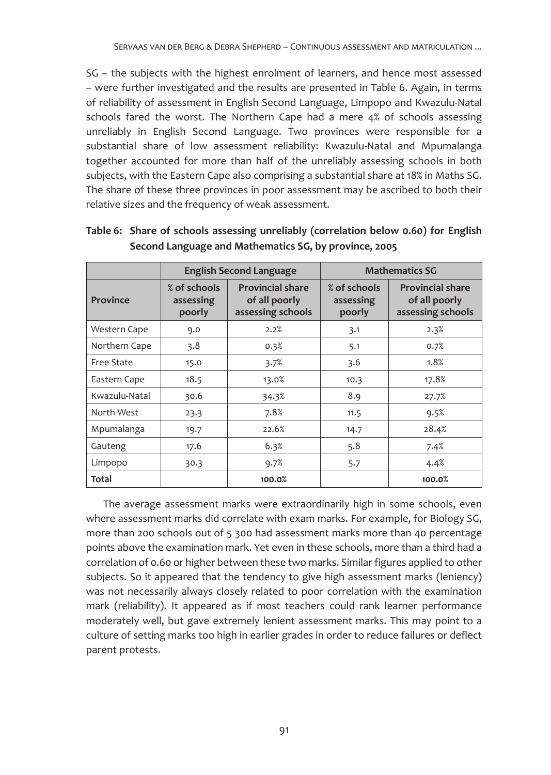SG – the subjects with the highest enrolment of learners, and hence most assessed – were further investigated and the results are presented in Table 6. Again, in terms of reliability of assessment in English Second Language, Limpopo and Kwazulu-Natal schools fared the worst. The Northern Cape had a mere 4% of schools assessing unreliably in English Second Language. Two provinces were responsible for a substantial share of low assessment reliability: Kwazulu-Natal and Mpumalanga together accounted for more than half of the unreliably assessing schools in both subjects, with the Eastern Cape also comprising a substantial share at 18% in Maths SG. The share of these three provinces in poor assessment may be ascribed to both their relative sizes and the frequency of weak assessment.

|               |                                     | <b>English Second Language</b>                                |                                     | <b>Mathematics SG</b>                                         |
|---------------|-------------------------------------|---------------------------------------------------------------|-------------------------------------|---------------------------------------------------------------|
| Province      | % of schools<br>assessing<br>poorly | <b>Provincial share</b><br>of all poorly<br>assessing schools | % of schools<br>assessing<br>poorly | <b>Provincial share</b><br>of all poorly<br>assessing schools |
| Western Cape  | 9.0                                 | 2.2%                                                          | 3.1                                 | 2.3%                                                          |
| Northern Cape | 3.8                                 | 0.3%                                                          | 5.1                                 | 0.7%                                                          |
| Free State    | 15.0                                | 3.7%                                                          | 3.6                                 | 1.8%                                                          |
| Eastern Cape  | 18.5                                | 13.0%                                                         | 10.3                                | 17.8%                                                         |
| Kwazulu-Natal | 30.6                                | 34.3%                                                         | 8.9                                 | 27.7%                                                         |
| North-West    | 23.3                                | 7.8%                                                          | 11.5                                | 9.5%                                                          |
| Mpumalanga    | 19.7                                | 22.6%                                                         | 14.7                                | 28.4%                                                         |
| Gauteng       | 17.6                                | 6.3%                                                          | 5.8                                 | 7.4%                                                          |
| Limpopo       | 30.3                                | 9.7%                                                          | 5.7                                 | 4.4%                                                          |
| <b>Total</b>  |                                     | 100.0%                                                        |                                     | 100.0%                                                        |

**Table 6: Share of schools assessing unreliably (correlation below 0.60) for English Second Language and Mathematics SG, by province, 2005**

The average assessment marks were extraordinarily high in some schools, even where assessment marks did correlate with exam marks. For example, for Biology SG, more than 200 schools out of 5 300 had assessment marks more than 40 percentage points above the examination mark. Yet even in these schools, more than a third had a correlation of 0.60 or higher between these two marks. Similar figures applied to other subjects. So it appeared that the tendency to give high assessment marks (leniency) was not necessarily always closely related to poor correlation with the examination mark (reliability). It appeared as if most teachers could rank learner performance moderately well, but gave extremely lenient assessment marks. This may point to a culture of setting marks too high in earlier grades in order to reduce failures or deflect parent protests.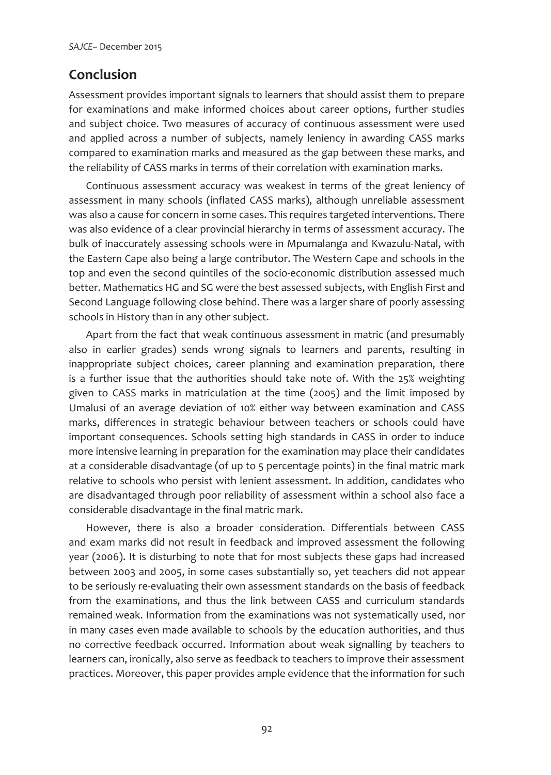# **Conclusion**

Assessment provides important signals to learners that should assist them to prepare for examinations and make informed choices about career options, further studies and subject choice. Two measures of accuracy of continuous assessment were used and applied across a number of subjects, namely leniency in awarding CASS marks compared to examination marks and measured as the gap between these marks, and the reliability of CASS marks in terms of their correlation with examination marks.

Continuous assessment accuracy was weakest in terms of the great leniency of assessment in many schools (inflated CASS marks), although unreliable assessment was also a cause for concern in some cases. This requires targeted interventions. There was also evidence of a clear provincial hierarchy in terms of assessment accuracy. The bulk of inaccurately assessing schools were in Mpumalanga and Kwazulu-Natal, with the Eastern Cape also being a large contributor. The Western Cape and schools in the top and even the second quintiles of the socio-economic distribution assessed much better. Mathematics HG and SG were the best assessed subjects, with English First and Second Language following close behind. There was a larger share of poorly assessing schools in History than in any other subject.

Apart from the fact that weak continuous assessment in matric (and presumably also in earlier grades) sends wrong signals to learners and parents, resulting in inappropriate subject choices, career planning and examination preparation, there is a further issue that the authorities should take note of. With the 25% weighting given to CASS marks in matriculation at the time (2005) and the limit imposed by Umalusi of an average deviation of 10% either way between examination and CASS marks, differences in strategic behaviour between teachers or schools could have important consequences. Schools setting high standards in CASS in order to induce more intensive learning in preparation for the examination may place their candidates at a considerable disadvantage (of up to 5 percentage points) in the final matric mark relative to schools who persist with lenient assessment. In addition, candidates who are disadvantaged through poor reliability of assessment within a school also face a considerable disadvantage in the final matric mark.

However, there is also a broader consideration. Differentials between CASS and exam marks did not result in feedback and improved assessment the following year (2006). It is disturbing to note that for most subjects these gaps had increased between 2003 and 2005, in some cases substantially so, yet teachers did not appear to be seriously re-evaluating their own assessment standards on the basis of feedback from the examinations, and thus the link between CASS and curriculum standards remained weak. Information from the examinations was not systematically used, nor in many cases even made available to schools by the education authorities, and thus no corrective feedback occurred. Information about weak signalling by teachers to learners can, ironically, also serve as feedback to teachers to improve their assessment practices. Moreover, this paper provides ample evidence that the information for such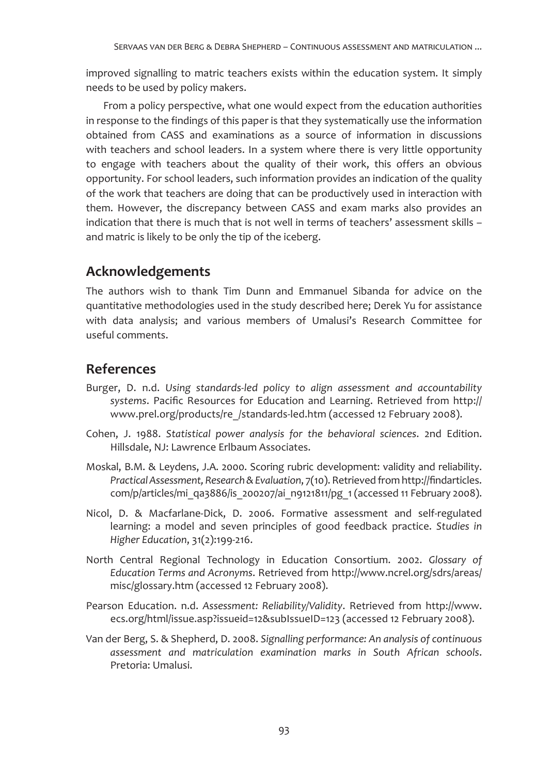improved signalling to matric teachers exists within the education system. It simply needs to be used by policy makers.

From a policy perspective, what one would expect from the education authorities in response to the findings of this paper is that they systematically use the information obtained from CASS and examinations as a source of information in discussions with teachers and school leaders. In a system where there is very little opportunity to engage with teachers about the quality of their work, this offers an obvious opportunity. For school leaders, such information provides an indication of the quality of the work that teachers are doing that can be productively used in interaction with them. However, the discrepancy between CASS and exam marks also provides an indication that there is much that is not well in terms of teachers' assessment skills – and matric is likely to be only the tip of the iceberg.

# **Acknowledgements**

The authors wish to thank Tim Dunn and Emmanuel Sibanda for advice on the quantitative methodologies used in the study described here; Derek Yu for assistance with data analysis; and various members of Umalusi's Research Committee for useful comments.

## **References**

- Burger, D. n.d. *Using standards-led policy to align assessment and accountability systems*. Pacific Resources for Education and Learning. Retrieved from http:// www.prel.org/products/re\_/standards-led.htm (accessed 12 February 2008).
- Cohen, J. 1988. *Statistical power analysis for the behavioral sciences*. 2nd Edition. Hillsdale, NJ: Lawrence Erlbaum Associates.
- Moskal, B.M. & Leydens, J.A. 2000. Scoring rubric development: validity and reliability. *Practical Assessment, Research & Evaluation*, 7(10). Retrieved from http://findarticles. com/p/articles/mi\_qa3886/is\_200207/ai\_n9121811/pg\_1 (accessed 11 February 2008).
- Nicol, D. & Macfarlane-Dick, D. 2006. Formative assessment and self-regulated learning: a model and seven principles of good feedback practice. *Studies in Higher Education*, 31(2):199-216.
- North Central Regional Technology in Education Consortium. 2002. *Glossary of Education Terms and Acronyms*. Retrieved from http://www.ncrel.org/sdrs/areas/ misc/glossary.htm (accessed 12 February 2008).
- Pearson Education. n.d. *Assessment: Reliability/Validity*. Retrieved from http://www. ecs.org/html/issue.asp?issueid=12&subIssueID=123 (accessed 12 February 2008).
- Van der Berg, S. & Shepherd, D. 2008. *Signalling performance: An analysis of continuous assessment and matriculation examination marks in South African schools*. Pretoria: Umalusi.